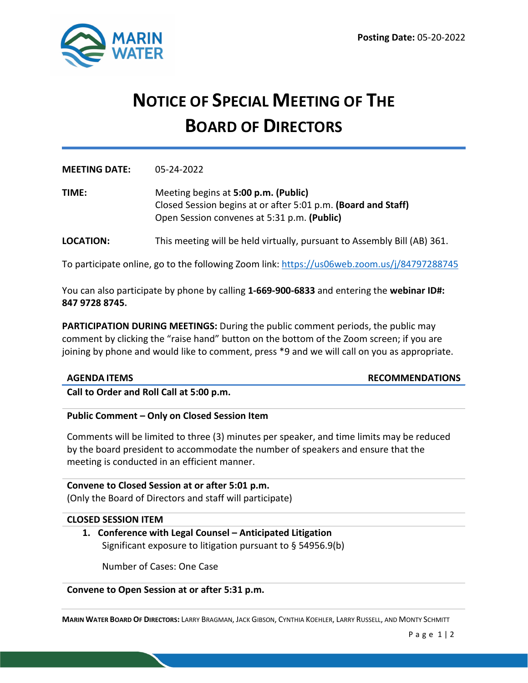

# **NOTICE OF SPECIAL MEETING OF THE BOARD OF DIRECTORS**

**MEETING DATE:** 05-24-2022

**TIME:** Meeting begins at **5:00 p.m. (Public)** Closed Session begins at or after 5:01 p.m. **(Board and Staff)** Open Session convenes at 5:31 p.m. **(Public)**

**LOCATION:** This meeting will be held virtually, pursuant to Assembly Bill (AB) 361.

To participate online, go to the following Zoom link: <https://us06web.zoom.us/j/84797288745>

You can also participate by phone by calling **1-669-900-6833** and entering the **webinar ID#: 847 9728 8745.** 

**PARTICIPATION DURING MEETINGS:** During the public comment periods, the public may comment by clicking the "raise hand" button on the bottom of the Zoom screen; if you are joining by phone and would like to comment, press \*9 and we will call on you as appropriate.

**AGENDA ITEMS RECOMMENDATIONS**

**Call to Order and Roll Call at 5:00 p.m.**

#### **Public Comment – Only on Closed Session Item**

Comments will be limited to three (3) minutes per speaker, and time limits may be reduced by the board president to accommodate the number of speakers and ensure that the meeting is conducted in an efficient manner.

**Convene to Closed Session at or after 5:01 p.m.** (Only the Board of Directors and staff will participate)

#### **CLOSED SESSION ITEM**

**1. Conference with Legal Counsel – Anticipated Litigation** Significant exposure to litigation pursuant to § 54956.9(b)

Number of Cases: One Case

**Convene to Open Session at or after 5:31 p.m.**

**MARIN WATER BOARD OF DIRECTORS:** LARRY BRAGMAN, JACK GIBSON, CYNTHIA KOEHLER, LARRY RUSSELL, AND MONTY SCHMITT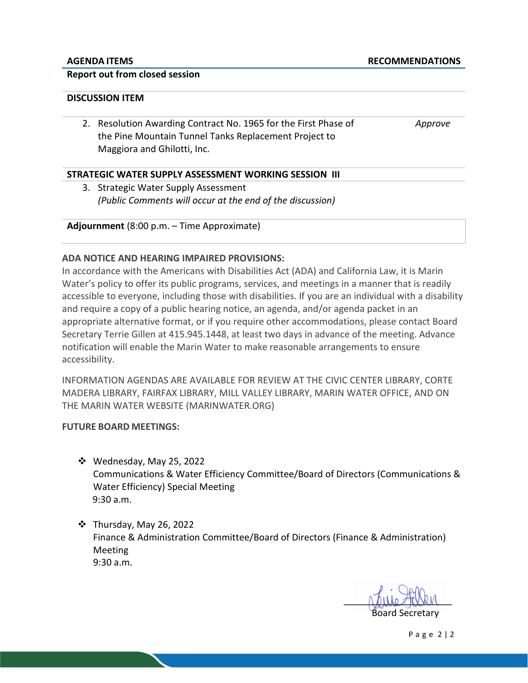#### **Report out from closed session**

#### **DISCUSSION ITEM**

2. Resolution Awarding Contract No. 1965 for the First Phase of the Pine Mountain Tunnel Tanks Replacement Project to Maggiora and Ghilotti, Inc.

 *Approve*

#### **STRATEGIC WATER SUPPLY ASSESSMENT WORKING SESSION III**

3. Strategic Water Supply Assessment *(Public Comments will occur at the end of the discussion)*

**Adjournment** (8:00 p.m. – Time Approximate)

#### **ADA NOTICE AND HEARING IMPAIRED PROVISIONS:**

In accordance with the Americans with Disabilities Act (ADA) and California Law, it is Marin Water's policy to offer its public programs, services, and meetings in a manner that is readily accessible to everyone, including those with disabilities. If you are an individual with a disability and require a copy of a public hearing notice, an agenda, and/or agenda packet in an appropriate alternative format, or if you require other accommodations, please contact Board Secretary Terrie Gillen at 415.945.1448, at least two days in advance of the meeting. Advance notification will enable the Marin Water to make reasonable arrangements to ensure accessibility.

INFORMATION AGENDAS ARE AVAILABLE FOR REVIEW AT THE CIVIC CENTER LIBRARY, CORTE MADERA LIBRARY, FAIRFAX LIBRARY, MILL VALLEY LIBRARY, MARIN WATER OFFICE, AND ON THE MARIN WATER WEBSITE (MARINWATER.ORG)

#### **FUTURE BOARD MEETINGS:**

- Wednesday, May 25, 2022 Communications & Water Efficiency Committee/Board of Directors (Communications & Water Efficiency) Special Meeting 9:30 a.m.
- $\cdot$  Thursday, May 26, 2022 Finance & Administration Committee/Board of Directors (Finance & Administration) Meeting 9:30 a.m.

rathe tensor

Board Secretary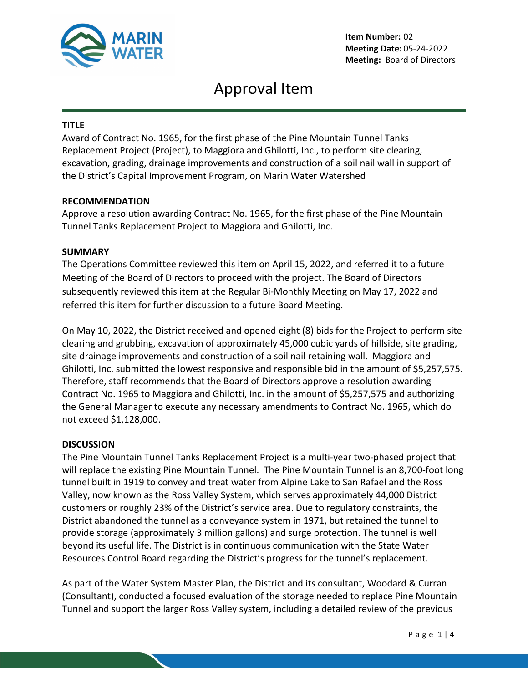

## Approval Item

#### **TITLE**

Award of Contract No. 1965, for the first phase of the Pine Mountain Tunnel Tanks Replacement Project (Project), to Maggiora and Ghilotti, Inc., to perform site clearing, excavation, grading, drainage improvements and construction of a soil nail wall in support of the District's Capital Improvement Program, on Marin Water Watershed

#### **RECOMMENDATION**

Approve a resolution awarding Contract No. 1965, for the first phase of the Pine Mountain Tunnel Tanks Replacement Project to Maggiora and Ghilotti, Inc.

#### **SUMMARY**

The Operations Committee reviewed this item on April 15, 2022, and referred it to a future Meeting of the Board of Directors to proceed with the project. The Board of Directors subsequently reviewed this item at the Regular Bi-Monthly Meeting on May 17, 2022 and referred this item for further discussion to a future Board Meeting.

On May 10, 2022, the District received and opened eight (8) bids for the Project to perform site clearing and grubbing, excavation of approximately 45,000 cubic yards of hillside, site grading, site drainage improvements and construction of a soil nail retaining wall. Maggiora and Ghilotti, Inc. submitted the lowest responsive and responsible bid in the amount of \$5,257,575. Therefore, staff recommends that the Board of Directors approve a resolution awarding Contract No. 1965 to Maggiora and Ghilotti, Inc. in the amount of \$5,257,575 and authorizing the General Manager to execute any necessary amendments to Contract No. 1965, which do not exceed \$1,128,000.

#### **DISCUSSION**

The Pine Mountain Tunnel Tanks Replacement Project is a multi-year two-phased project that will replace the existing Pine Mountain Tunnel. The Pine Mountain Tunnel is an 8,700-foot long tunnel built in 1919 to convey and treat water from Alpine Lake to San Rafael and the Ross Valley, now known as the Ross Valley System, which serves approximately 44,000 District customers or roughly 23% of the District's service area. Due to regulatory constraints, the District abandoned the tunnel as a conveyance system in 1971, but retained the tunnel to provide storage (approximately 3 million gallons) and surge protection. The tunnel is well beyond its useful life. The District is in continuous communication with the State Water Resources Control Board regarding the District's progress for the tunnel's replacement.

As part of the Water System Master Plan, the District and its consultant, Woodard & Curran (Consultant), conducted a focused evaluation of the storage needed to replace Pine Mountain Tunnel and support the larger Ross Valley system, including a detailed review of the previous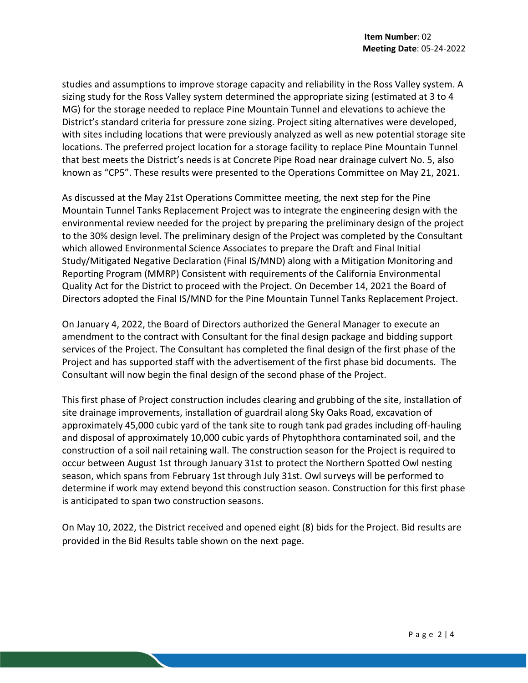studies and assumptions to improve storage capacity and reliability in the Ross Valley system. A sizing study for the Ross Valley system determined the appropriate sizing (estimated at 3 to 4 MG) for the storage needed to replace Pine Mountain Tunnel and elevations to achieve the District's standard criteria for pressure zone sizing. Project siting alternatives were developed, with sites including locations that were previously analyzed as well as new potential storage site locations. The preferred project location for a storage facility to replace Pine Mountain Tunnel that best meets the District's needs is at Concrete Pipe Road near drainage culvert No. 5, also known as "CP5". These results were presented to the Operations Committee on May 21, 2021.

As discussed at the May 21st Operations Committee meeting, the next step for the Pine Mountain Tunnel Tanks Replacement Project was to integrate the engineering design with the environmental review needed for the project by preparing the preliminary design of the project to the 30% design level. The preliminary design of the Project was completed by the Consultant which allowed Environmental Science Associates to prepare the Draft and Final Initial Study/Mitigated Negative Declaration (Final IS/MND) along with a Mitigation Monitoring and Reporting Program (MMRP) Consistent with requirements of the California Environmental Quality Act for the District to proceed with the Project. On December 14, 2021 the Board of Directors adopted the Final IS/MND for the Pine Mountain Tunnel Tanks Replacement Project.

On January 4, 2022, the Board of Directors authorized the General Manager to execute an amendment to the contract with Consultant for the final design package and bidding support services of the Project. The Consultant has completed the final design of the first phase of the Project and has supported staff with the advertisement of the first phase bid documents. The Consultant will now begin the final design of the second phase of the Project.

This first phase of Project construction includes clearing and grubbing of the site, installation of site drainage improvements, installation of guardrail along Sky Oaks Road, excavation of approximately 45,000 cubic yard of the tank site to rough tank pad grades including off-hauling and disposal of approximately 10,000 cubic yards of Phytophthora contaminated soil, and the construction of a soil nail retaining wall. The construction season for the Project is required to occur between August 1st through January 31st to protect the Northern Spotted Owl nesting season, which spans from February 1st through July 31st. Owl surveys will be performed to determine if work may extend beyond this construction season. Construction for this first phase is anticipated to span two construction seasons.

On May 10, 2022, the District received and opened eight (8) bids for the Project. Bid results are provided in the Bid Results table shown on the next page.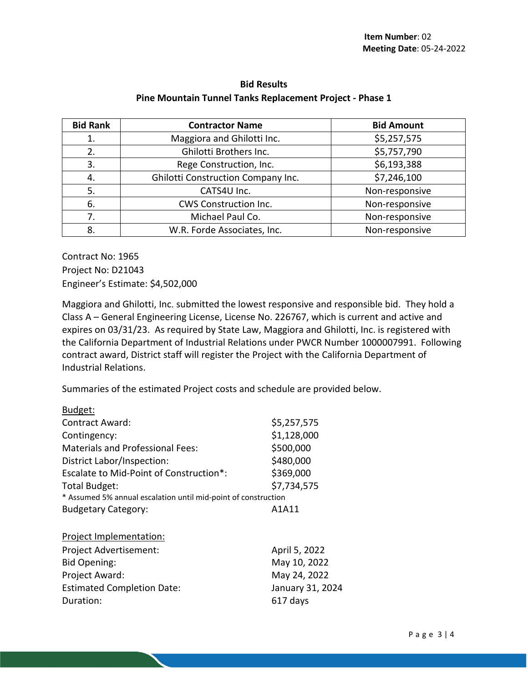#### **Bid Results Pine Mountain Tunnel Tanks Replacement Project - Phase 1**

| <b>Bid Rank</b> | <b>Contractor Name</b>             | <b>Bid Amount</b> |  |
|-----------------|------------------------------------|-------------------|--|
| 1.              | Maggiora and Ghilotti Inc.         | \$5,257,575       |  |
| 2.              | Ghilotti Brothers Inc.             | \$5,757,790       |  |
| 3.              | Rege Construction, Inc.            | \$6,193,388       |  |
| 4.              | Ghilotti Construction Company Inc. | \$7,246,100       |  |
| 5.              | CATS4U Inc.                        | Non-responsive    |  |
| 6.              | <b>CWS Construction Inc.</b>       | Non-responsive    |  |
| 7.              | Michael Paul Co.                   | Non-responsive    |  |
| 8.              | W.R. Forde Associates, Inc.        | Non-responsive    |  |

Contract No: 1965 Project No: D21043 Engineer's Estimate: \$4,502,000

Maggiora and Ghilotti, Inc. submitted the lowest responsive and responsible bid. They hold a Class A – General Engineering License, License No. 226767, which is current and active and expires on 03/31/23. As required by State Law, Maggiora and Ghilotti, Inc. is registered with the California Department of Industrial Relations under PWCR Number 1000007991. Following contract award, District staff will register the Project with the California Department of Industrial Relations.

Summaries of the estimated Project costs and schedule are provided below.

| Budget:                                                        |                  |
|----------------------------------------------------------------|------------------|
| <b>Contract Award:</b>                                         | \$5,257,575      |
| Contingency:                                                   | \$1,128,000      |
| <b>Materials and Professional Fees:</b>                        | \$500,000        |
| District Labor/Inspection:                                     | \$480,000        |
| Escalate to Mid-Point of Construction <sup>*</sup> :           | \$369,000        |
| Total Budget:                                                  | \$7,734,575      |
| * Assumed 5% annual escalation until mid-point of construction |                  |
| <b>Budgetary Category:</b>                                     | A1A11            |
| Project Implementation:                                        |                  |
| <b>Project Advertisement:</b>                                  | April 5, 2022    |
| <b>Bid Opening:</b>                                            | May 10, 2022     |
| Project Award:                                                 | May 24, 2022     |
| <b>Estimated Completion Date:</b>                              | January 31, 2024 |
| Duration:                                                      | 617 days         |
|                                                                |                  |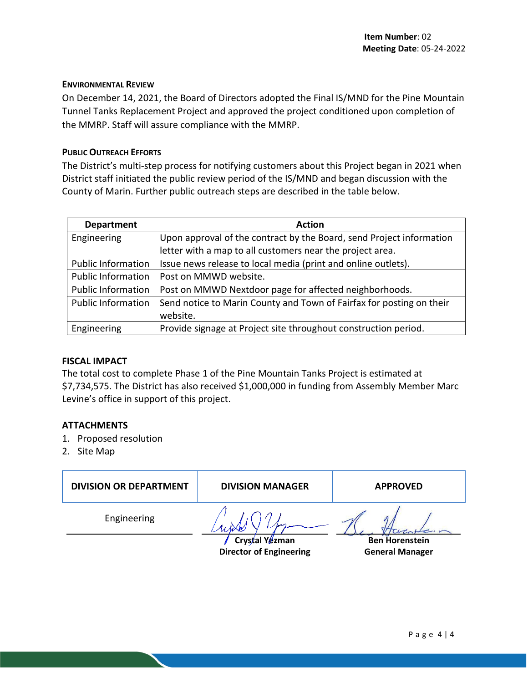#### **ENVIRONMENTAL REVIEW**

On December 14, 2021, the Board of Directors adopted the Final IS/MND for the Pine Mountain Tunnel Tanks Replacement Project and approved the project conditioned upon completion of the MMRP. Staff will assure compliance with the MMRP.

#### **PUBLIC OUTREACH EFFORTS**

The District's multi-step process for notifying customers about this Project began in 2021 when District staff initiated the public review period of the IS/MND and began discussion with the County of Marin. Further public outreach steps are described in the table below.

| <b>Department</b>         | <b>Action</b>                                                        |  |  |
|---------------------------|----------------------------------------------------------------------|--|--|
| Engineering               | Upon approval of the contract by the Board, send Project information |  |  |
|                           | letter with a map to all customers near the project area.            |  |  |
| <b>Public Information</b> | Issue news release to local media (print and online outlets).        |  |  |
| <b>Public Information</b> | Post on MMWD website.                                                |  |  |
| <b>Public Information</b> | Post on MMWD Nextdoor page for affected neighborhoods.               |  |  |
| <b>Public Information</b> | Send notice to Marin County and Town of Fairfax for posting on their |  |  |
|                           | website.                                                             |  |  |
| Engineering               | Provide signage at Project site throughout construction period.      |  |  |

#### **FISCAL IMPACT**

The total cost to complete Phase 1 of the Pine Mountain Tanks Project is estimated at \$7,734,575. The District has also received \$1,000,000 in funding from Assembly Member Marc Levine's office in support of this project.

#### **ATTACHMENTS**

- 1. Proposed resolution
- 2. Site Map

| <b>DIVISION OR DEPARTMENT</b> | <b>DIVISION MANAGER</b>                          | <b>APPROVED</b>                                 |
|-------------------------------|--------------------------------------------------|-------------------------------------------------|
| Engineering                   |                                                  |                                                 |
|                               | Crystal Yezman<br><b>Director of Engineering</b> | <b>Ben Horenstein</b><br><b>General Manager</b> |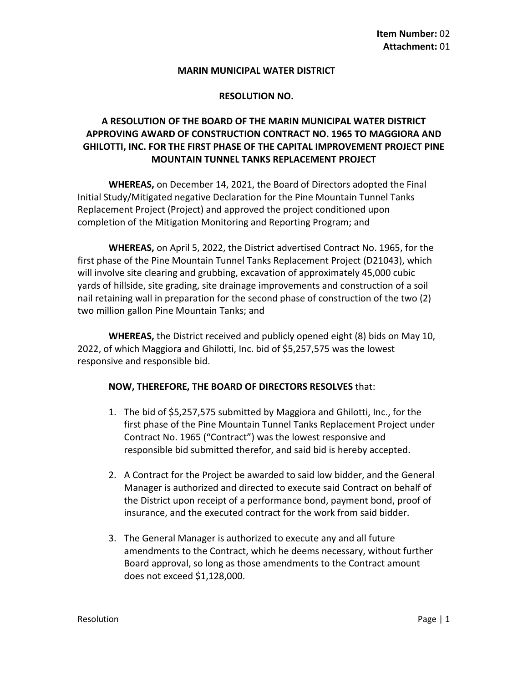#### **MARIN MUNICIPAL WATER DISTRICT**

#### **RESOLUTION NO.**

### **A RESOLUTION OF THE BOARD OF THE MARIN MUNICIPAL WATER DISTRICT APPROVING AWARD OF CONSTRUCTION CONTRACT NO. 1965 TO MAGGIORA AND GHILOTTI, INC. FOR THE FIRST PHASE OF THE CAPITAL IMPROVEMENT PROJECT PINE MOUNTAIN TUNNEL TANKS REPLACEMENT PROJECT**

**WHEREAS,** on December 14, 2021, the Board of Directors adopted the Final Initial Study/Mitigated negative Declaration for the Pine Mountain Tunnel Tanks Replacement Project (Project) and approved the project conditioned upon completion of the Mitigation Monitoring and Reporting Program; and

**WHEREAS,** on April 5, 2022, the District advertised Contract No. 1965, for the first phase of the Pine Mountain Tunnel Tanks Replacement Project (D21043), which will involve site clearing and grubbing, excavation of approximately 45,000 cubic yards of hillside, site grading, site drainage improvements and construction of a soil nail retaining wall in preparation for the second phase of construction of the two (2) two million gallon Pine Mountain Tanks; and

**WHEREAS,** the District received and publicly opened eight (8) bids on May 10, 2022, of which Maggiora and Ghilotti, Inc. bid of \$5,257,575 was the lowest responsive and responsible bid.

#### **NOW, THEREFORE, THE BOARD OF DIRECTORS RESOLVES** that:

- 1. The bid of \$5,257,575 submitted by Maggiora and Ghilotti, Inc., for the first phase of the Pine Mountain Tunnel Tanks Replacement Project under Contract No. 1965 ("Contract") was the lowest responsive and responsible bid submitted therefor, and said bid is hereby accepted.
- 2. A Contract for the Project be awarded to said low bidder, and the General Manager is authorized and directed to execute said Contract on behalf of the District upon receipt of a performance bond, payment bond, proof of insurance, and the executed contract for the work from said bidder.
- 3. The General Manager is authorized to execute any and all future amendments to the Contract, which he deems necessary, without further Board approval, so long as those amendments to the Contract amount does not exceed \$1,128,000.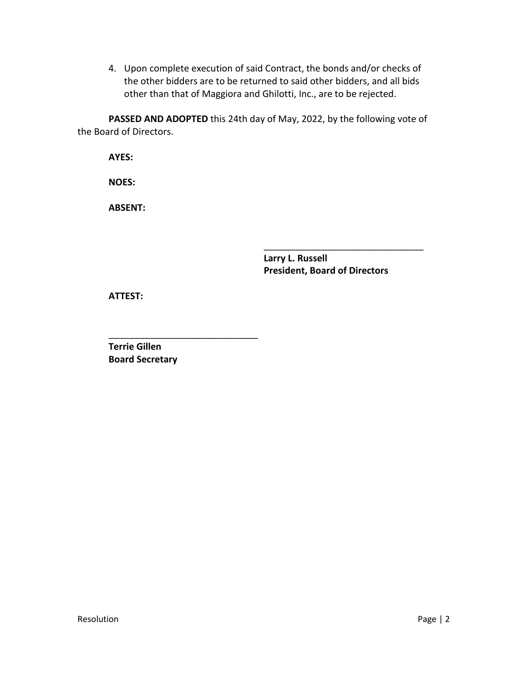4. Upon complete execution of said Contract, the bonds and/or checks of the other bidders are to be returned to said other bidders, and all bids other than that of Maggiora and Ghilotti, Inc., are to be rejected.

**PASSED AND ADOPTED** this 24th day of May, 2022, by the following vote of the Board of Directors.

**AYES:**

**NOES:**

**ABSENT:**

**Larry L. Russell President, Board of Directors**

\_\_\_\_\_\_\_\_\_\_\_\_\_\_\_\_\_\_\_\_\_\_\_\_\_\_\_\_\_\_\_

**ATTEST:**

**Terrie Gillen Board Secretary**

\_\_\_\_\_\_\_\_\_\_\_\_\_\_\_\_\_\_\_\_\_\_\_\_\_\_\_\_\_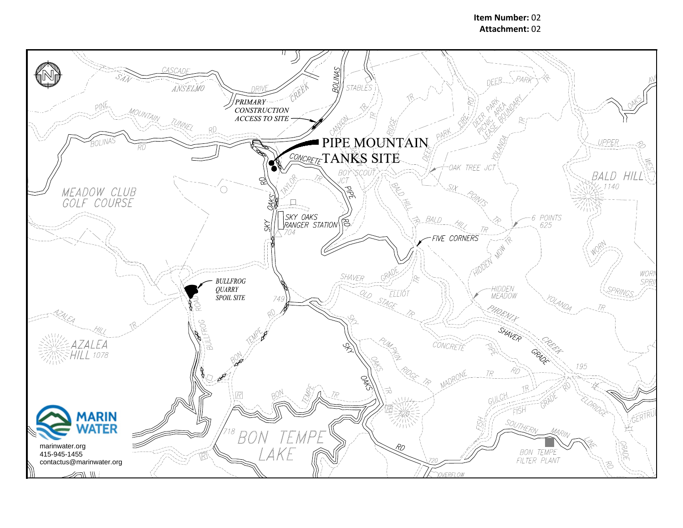#### **Item Number:** 02 **Attachment:** 02

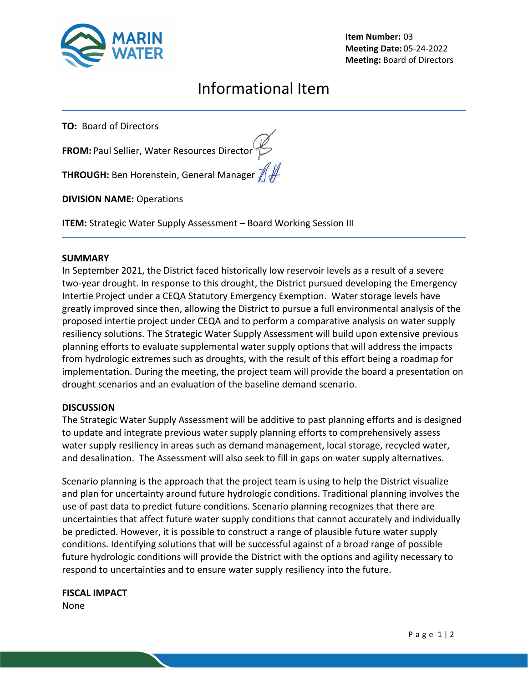

**Item Number:** 03 **Meeting Date:** 05-24-2022 **Meeting:** Board of Directors

### Informational Item

**TO:** Board of Directors

**FROM:** Paul Sellier, Water Resources Director

**THROUGH:** Ben Horenstein, General Manager

**DIVISION NAME:** Operations

**ITEM:** Strategic Water Supply Assessment – Board Working Session III

#### **SUMMARY**

In September 2021, the District faced historically low reservoir levels as a result of a severe two-year drought. In response to this drought, the District pursued developing the Emergency Intertie Project under a CEQA Statutory Emergency Exemption. Water storage levels have greatly improved since then, allowing the District to pursue a full environmental analysis of the proposed intertie project under CEQA and to perform a comparative analysis on water supply resiliency solutions. The Strategic Water Supply Assessment will build upon extensive previous planning efforts to evaluate supplemental water supply options that will address the impacts from hydrologic extremes such as droughts, with the result of this effort being a roadmap for implementation. During the meeting, the project team will provide the board a presentation on drought scenarios and an evaluation of the baseline demand scenario.

#### **DISCUSSION**

The Strategic Water Supply Assessment will be additive to past planning efforts and is designed to update and integrate previous water supply planning efforts to comprehensively assess water supply resiliency in areas such as demand management, local storage, recycled water, and desalination. The Assessment will also seek to fill in gaps on water supply alternatives.

Scenario planning is the approach that the project team is using to help the District visualize and plan for uncertainty around future hydrologic conditions. Traditional planning involves the use of past data to predict future conditions. Scenario planning recognizes that there are uncertainties that affect future water supply conditions that cannot accurately and individually be predicted. However, it is possible to construct a range of plausible future water supply conditions. Identifying solutions that will be successful against of a broad range of possible future hydrologic conditions will provide the District with the options and agility necessary to respond to uncertainties and to ensure water supply resiliency into the future.

#### **FISCAL IMPACT**

None